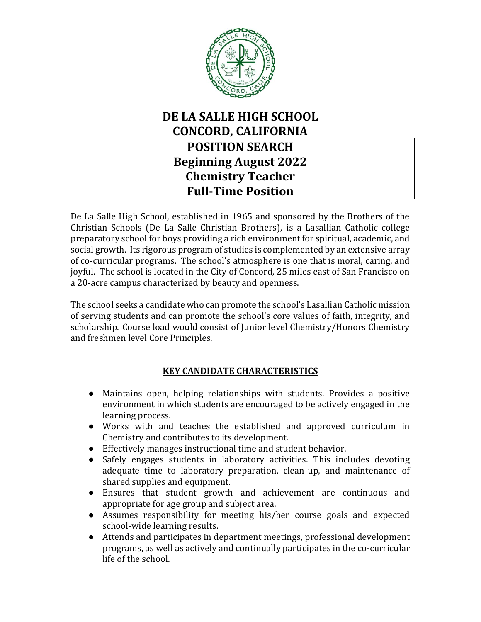

## **DE LA SALLE HIGH SCHOOL CONCORD, CALIFORNIA POSITION SEARCH Beginning August 2022 Chemistry Teacher Full-Time Position**

De La Salle High School, established in 1965 and sponsored by the Brothers of the Christian Schools (De La Salle Christian Brothers), is a Lasallian Catholic college preparatory school for boys providing a rich environment for spiritual, academic, and social growth. Its rigorous program of studies is complemented by an extensive array of co-curricular programs. The school's atmosphere is one that is moral, caring, and joyful. The school is located in the City of Concord, 25 miles east of San Francisco on a 20-acre campus characterized by beauty and openness.

The school seeks a candidate who can promote the school's Lasallian Catholic mission of serving students and can promote the school's core values of faith, integrity, and scholarship. Course load would consist of Junior level Chemistry/Honors Chemistry and freshmen level Core Principles.

## **KEY CANDIDATE CHARACTERISTICS**

- Maintains open, helping relationships with students. Provides a positive environment in which students are encouraged to be actively engaged in the learning process.
- Works with and teaches the established and approved curriculum in Chemistry and contributes to its development.
- Effectively manages instructional time and student behavior.
- Safely engages students in laboratory activities. This includes devoting adequate time to laboratory preparation, clean-up, and maintenance of shared supplies and equipment.
- Ensures that student growth and achievement are continuous and appropriate for age group and subject area.
- Assumes responsibility for meeting his/her course goals and expected school-wide learning results.
- Attends and participates in department meetings, professional development programs, as well as actively and continually participates in the co-curricular life of the school.